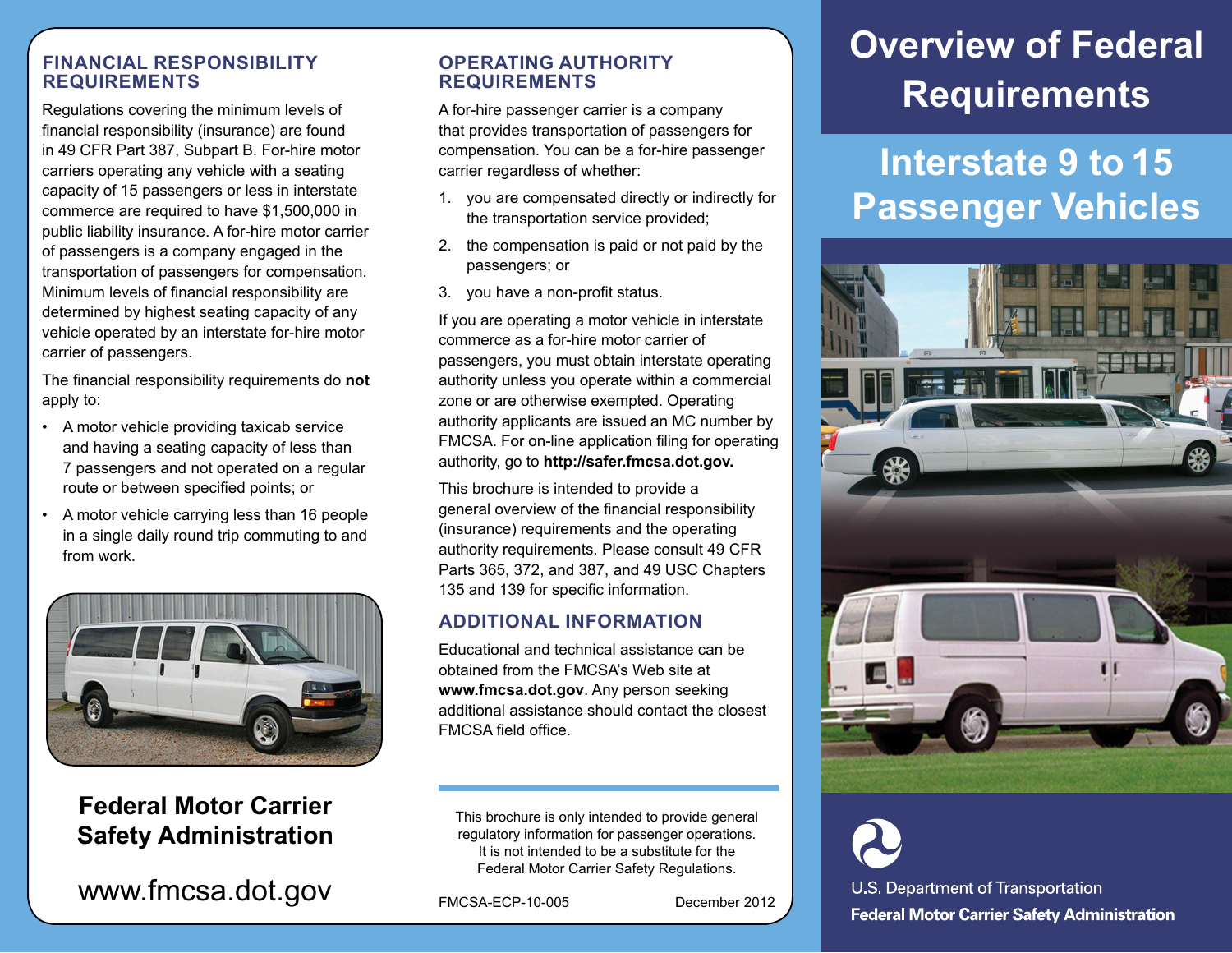### **FINANCIAL RESPONSIBILITY REQUIREMENTS**

Regulations covering the minimum levels of financial responsibility (insurance) are found in 49 CFR Part 387, Subpart B. For-hire motor carriers operating any vehicle with a seating capacity of 15 passengers or less in interstate commerce are required to have \$1,500,000 in public liability insurance. A for-hire motor carrier of passengers is a company engaged in the transportation of passengers for compensation. Minimum levels of financial responsibility are determined by highest seating capacity of any vehicle operated by an interstate for-hire motor carrier of passengers.

The financial responsibility requirements do **not**  apply to:

- A motor vehicle providing taxicab service and having a seating capacity of less than 7 passengers and not operated on a regular route or between specified points; or
- A motor vehicle carrying less than 16 people in a single daily round trip commuting to and from work.



### **Federal Motor Carrier Safety Administration**

 $www.fmcsa.dot.gov$   $F_{MCSA-ECP-10-005}$  December 2012

### **OPERATING AUTHORITY REQUIREMENTS**

A for-hire passenger carrier is a company that provides transportation of passengers for compensation. You can be a for-hire passenger carrier regardless of whether:

- 1. you are compensated directly or indirectly for the transportation service provided;
- 2. the compensation is paid or not paid by the passengers; or
- 3. you have a non-profit status.

If you are operating a motor vehicle in interstate commerce as a for-hire motor carrier of passengers, you must obtain interstate operating authority unless you operate within a commercial zone or are otherwise exempted. Operating authority applicants are issued an MC number by FMCSA. For on-line application filing for operating authority, go to **http://safer.fmcsa.dot.gov.**

This brochure is intended to provide a general overview of the financial responsibility (insurance) requirements and the operating authority requirements. Please consult 49 CFR Parts 365, 372, and 387, and 49 USC Chapters 135 and 139 for specific information.

### **ADDITIONAL INFORMATION**

Educational and technical assistance can be obtained from the FMCSA's Web site at **www.fmcsa.dot.gov**. Any person seeking additional assistance should contact the closest FMCSA field office.

This brochure is only intended to provide general regulatory information for passenger operations. It is not intended to be a substitute for the Federal Motor Carrier Safety Regulations.

# **Overview of Federal Requirements**

### **Interstate 9 to 15 Passenger Vehicles**



U.S. Department of Transportation **Federal Motor Carrier Safety Administration**